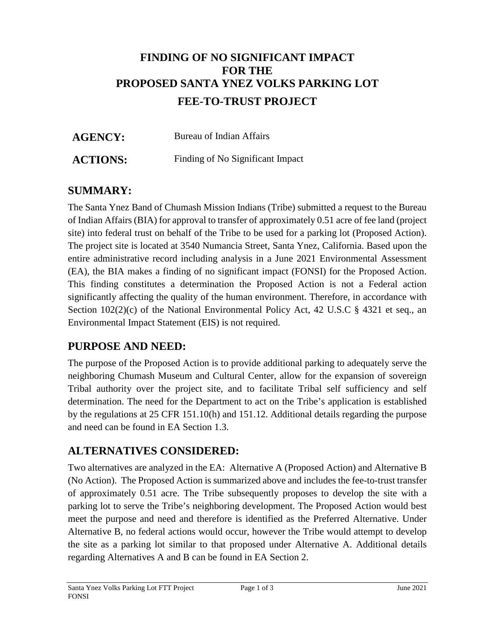# **FINDING OF NO SIGNIFICANT IMPACT FOR THE PROPOSED SANTA YNEZ VOLKS PARKING LOT FEE-TO-TRUST PROJECT**

| <b>AGENCY:</b>  | Bureau of Indian Affairs         |
|-----------------|----------------------------------|
| <b>ACTIONS:</b> | Finding of No Significant Impact |

# **SUMMARY:**

The Santa Ynez Band of Chumash Mission Indians (Tribe) submitted a request to the Bureau of Indian Affairs (BIA) for approval to transfer of approximately 0.51 acre of fee land (project site) into federal trust on behalf of the Tribe to be used for a parking lot (Proposed Action). The project site is located at 3540 Numancia Street, Santa Ynez, California. Based upon the entire administrative record including analysis in a June 2021 Environmental Assessment (EA), the BIA makes a finding of no significant impact (FONSI) for the Proposed Action. This finding constitutes a determination the Proposed Action is not a Federal action significantly affecting the quality of the human environment. Therefore, in accordance with Section 102(2)(c) of the National Environmental Policy Act, 42 U.S.C § 4321 et seq., an Environmental Impact Statement (EIS) is not required.

## **PURPOSE AND NEED:**

The purpose of the Proposed Action is to provide additional parking to adequately serve the neighboring Chumash Museum and Cultural Center, allow for the expansion of sovereign Tribal authority over the project site, and to facilitate Tribal self sufficiency and self determination. The need for the Department to act on the Tribe's application is established by the regulations at 25 CFR 151.10(h) and 151.12. Additional details regarding the purpose and need can be found in EA Section 1.3.

## **ALTERNATIVES CONSIDERED:**

Two alternatives are analyzed in the EA: Alternative A (Proposed Action) and Alternative B (No Action). The Proposed Action is summarized above and includes the fee-to-trust transfer of approximately 0.51 acre. The Tribe subsequently proposes to develop the site with a parking lot to serve the Tribe's neighboring development. The Proposed Action would best meet the purpose and need and therefore is identified as the Preferred Alternative. Under Alternative B, no federal actions would occur, however the Tribe would attempt to develop the site as a parking lot similar to that proposed under Alternative A. Additional details regarding Alternatives A and B can be found in EA Section 2.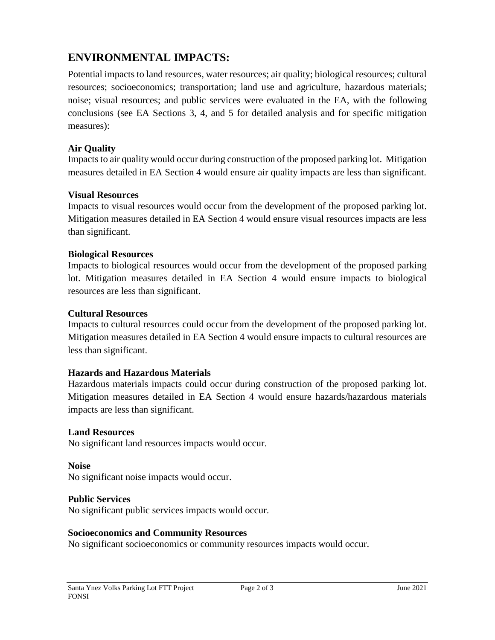# **ENVIRONMENTAL IMPACTS:**

Potential impacts to land resources, water resources; air quality; biological resources; cultural resources; socioeconomics; transportation; land use and agriculture, hazardous materials; noise; visual resources; and public services were evaluated in the EA, with the following conclusions (see EA Sections 3, 4, and 5 for detailed analysis and for specific mitigation measures):

## **Air Quality**

Impacts to air quality would occur during construction of the proposed parking lot. Mitigation measures detailed in EA Section 4 would ensure air quality impacts are less than significant.

## **Visual Resources**

Impacts to visual resources would occur from the development of the proposed parking lot. Mitigation measures detailed in EA Section 4 would ensure visual resources impacts are less than significant.

### **Biological Resources**

Impacts to biological resources would occur from the development of the proposed parking lot. Mitigation measures detailed in EA Section 4 would ensure impacts to biological resources are less than significant.

### **Cultural Resources**

Impacts to cultural resources could occur from the development of the proposed parking lot. Mitigation measures detailed in EA Section 4 would ensure impacts to cultural resources are less than significant.

## **Hazards and Hazardous Materials**

Hazardous materials impacts could occur during construction of the proposed parking lot. Mitigation measures detailed in EA Section 4 would ensure hazards/hazardous materials impacts are less than significant.

### **Land Resources**

No significant land resources impacts would occur.

### **Noise**

No significant noise impacts would occur.

### **Public Services**

No significant public services impacts would occur.

### **Socioeconomics and Community Resources**

No significant socioeconomics or community resources impacts would occur.